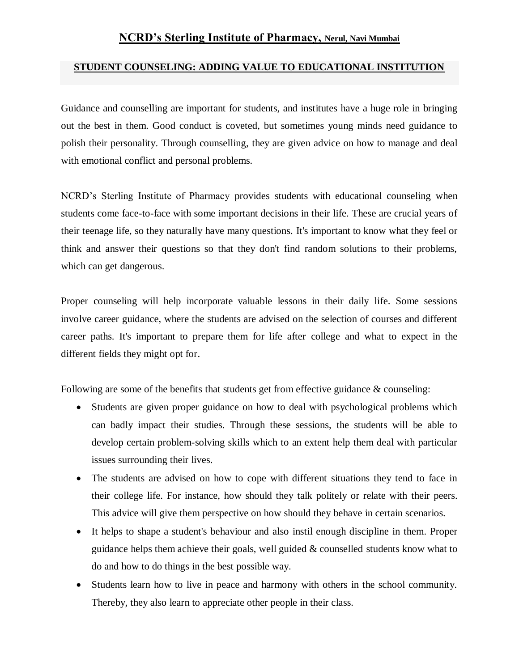## **STUDENT COUNSELING: ADDING VALUE TO EDUCATIONAL INSTITUTION**

Guidance and counselling are important for students, and institutes have a huge role in bringing out the best in them. Good conduct is coveted, but sometimes young minds need guidance to polish their personality. Through counselling, they are given advice on how to manage and deal with emotional conflict and personal problems.

[NCRD's Sterling Institute of Pharmacy](https://www.nalandaschool.org/) provides students with educational counseling when students come face-to-face with some important decisions in their life. These are crucial years of their teenage life, so they naturally have many questions. It's important to know what they feel or think and answer their questions so that they don't find random solutions to their problems, which can get dangerous.

Proper counseling will help incorporate valuable lessons in their daily life. Some sessions involve career guidance, where the students are advised on the selection of courses and different career paths. It's important to prepare them for life after college and what to expect in the different fields they might opt for.

Following are some of the benefits that students get from effective guidance & counseling:

- Students are given proper guidance on how to deal with psychological problems which can badly impact their studies. Through these sessions, the students will be able to develop certain problem-solving skills which to an extent help them deal with particular issues surrounding their lives.
- The students are advised on how to cope with different situations they tend to face in their college life. For instance, how should they talk politely or relate with their peers. This advice will give them perspective on how should they behave in certain scenarios.
- It helps to shape a student's behaviour and also instil enough discipline in them. Proper guidance helps them achieve their goals, well guided & counselled students know what to do and how to do things in the best possible way.
- Students learn how to live in peace and harmony with others in the school community. Thereby, they also learn to appreciate other people in their class.